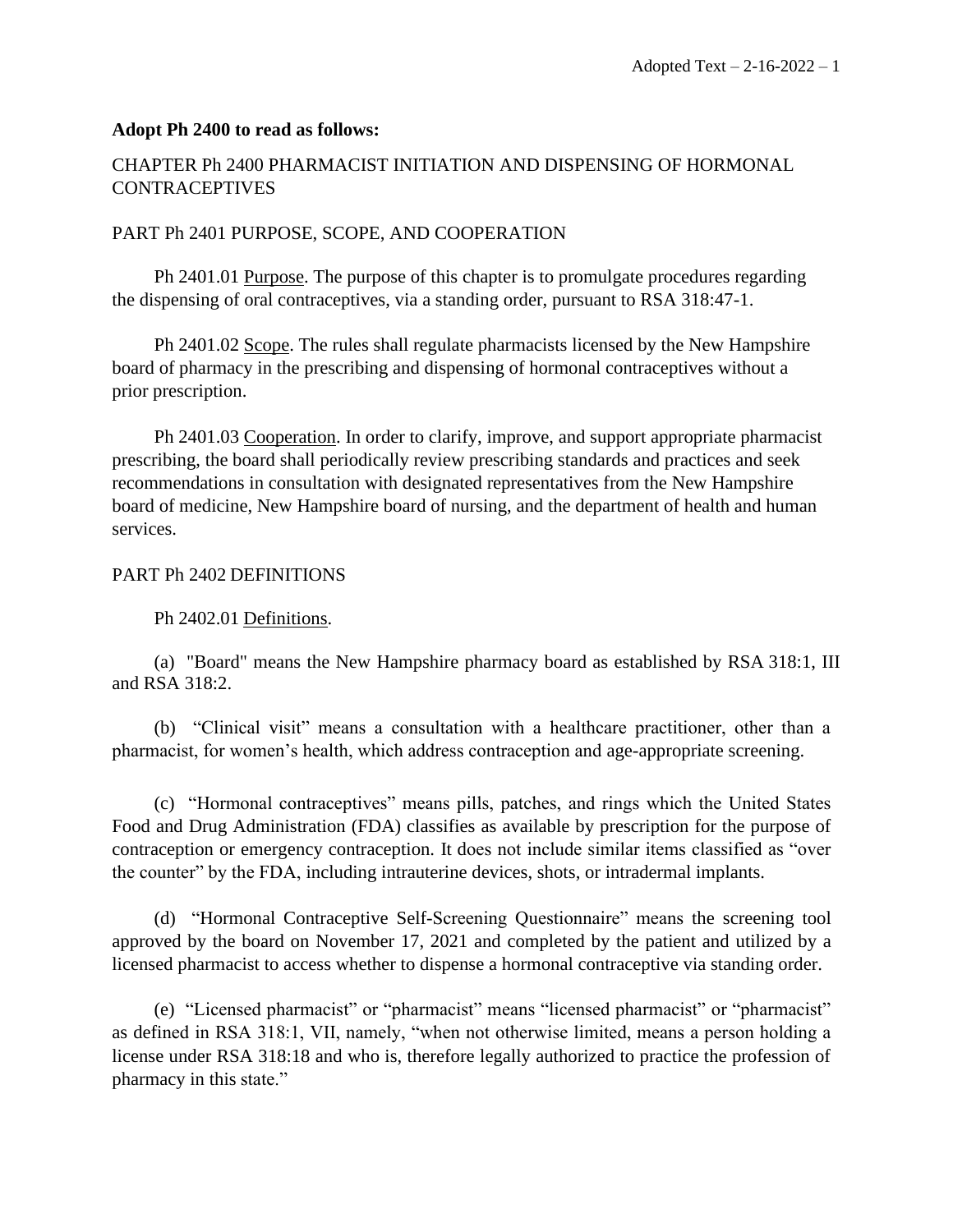#### **Adopt Ph 2400 to read as follows:**

# CHAPTER Ph 2400 PHARMACIST INITIATION AND DISPENSING OF HORMONAL **CONTRACEPTIVES**

#### PART Ph 2401 PURPOSE, SCOPE, AND COOPERATION

Ph 2401.01 Purpose. The purpose of this chapter is to promulgate procedures regarding the dispensing of oral contraceptives, via a standing order, pursuant to RSA 318:47-1.

Ph 2401.02 Scope. The rules shall regulate pharmacists licensed by the New Hampshire board of pharmacy in the prescribing and dispensing of hormonal contraceptives without a prior prescription.

Ph 2401.03 Cooperation. In order to clarify, improve, and support appropriate pharmacist prescribing, the board shall periodically review prescribing standards and practices and seek recommendations in consultation with designated representatives from the New Hampshire board of medicine, New Hampshire board of nursing, and the department of health and human services.

#### PART Ph 2402 DEFINITIONS

#### Ph 2402.01 Definitions.

(a) "Board" means the New Hampshire pharmacy board as established by RSA 318:1, III and RSA 318:2.

(b) "Clinical visit" means a consultation with a healthcare practitioner, other than a pharmacist, for women's health, which address contraception and age-appropriate screening.

(c) "Hormonal contraceptives" means pills, patches, and rings which the United States Food and Drug Administration (FDA) classifies as available by prescription for the purpose of contraception or emergency contraception. It does not include similar items classified as "over the counter" by the FDA, including intrauterine devices, shots, or intradermal implants.

(d) "Hormonal Contraceptive Self-Screening Questionnaire" means the screening tool approved by the board on November 17, 2021 and completed by the patient and utilized by a licensed pharmacist to access whether to dispense a hormonal contraceptive via standing order.

(e) "Licensed pharmacist" or "pharmacist" means "licensed pharmacist" or "pharmacist" as defined in RSA 318:1, VII, namely, "when not otherwise limited, means a person holding a license under RSA 318:18 and who is, therefore legally authorized to practice the profession of pharmacy in this state."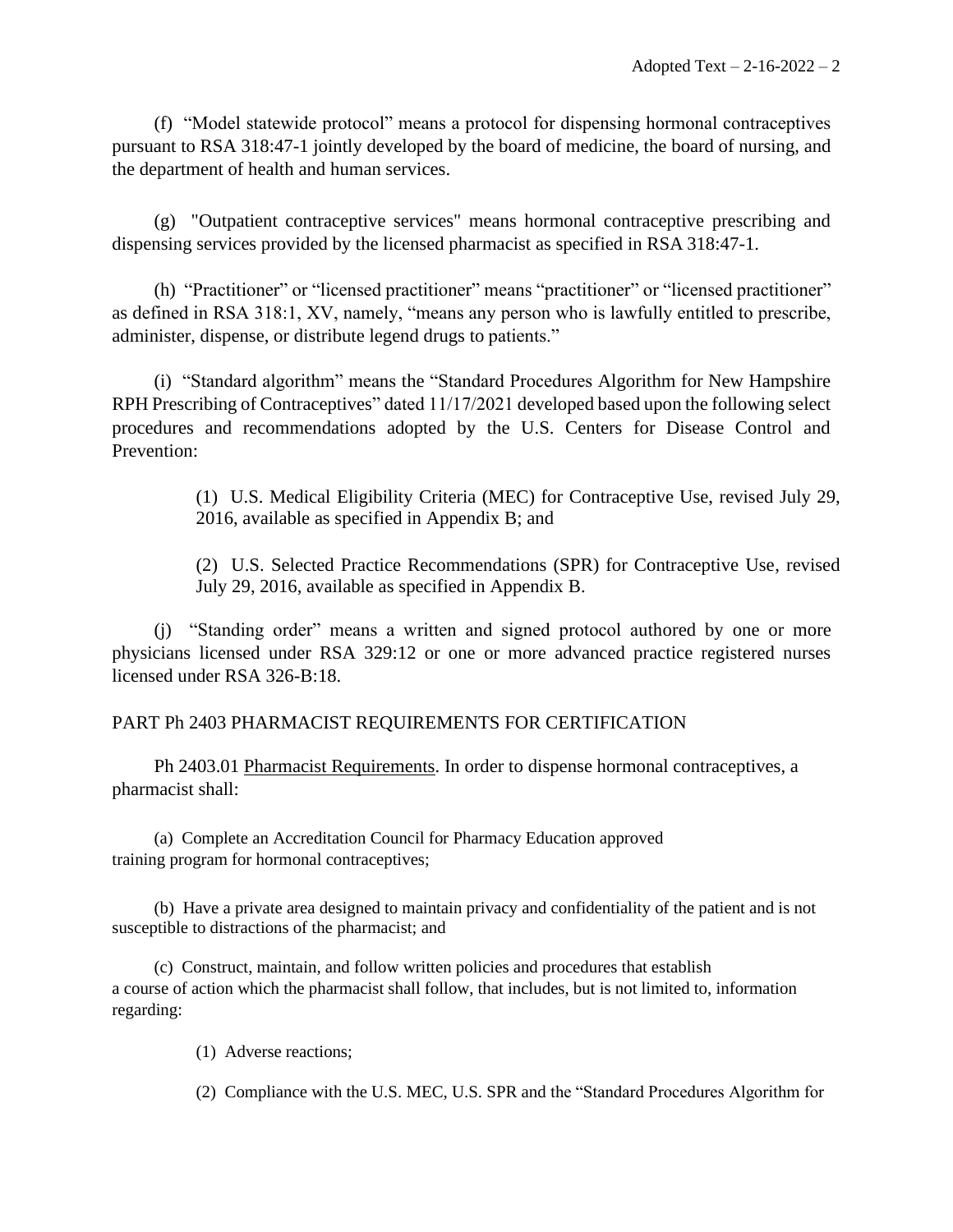(f) "Model statewide protocol" means a protocol for dispensing hormonal contraceptives pursuant to RSA 318:47-1 jointly developed by the board of medicine, the board of nursing, and the department of health and human services.

(g) "Outpatient contraceptive services" means hormonal contraceptive prescribing and dispensing services provided by the licensed pharmacist as specified in RSA 318:47-1.

(h) "Practitioner" or "licensed practitioner" means "practitioner" or "licensed practitioner" as defined in RSA 318:1, XV, namely, "means any person who is lawfully entitled to prescribe, administer, dispense, or distribute legend drugs to patients."

(i) "Standard algorithm" means the "Standard Procedures Algorithm for New Hampshire RPH Prescribing of Contraceptives" dated 11/17/2021 developed based upon the following select procedures and recommendations adopted by the U.S. Centers for Disease Control and Prevention:

> (1) U.S. Medical Eligibility Criteria (MEC) for Contraceptive Use, revised July 29, 2016, available as specified in Appendix B; and

> (2) U.S. Selected Practice Recommendations (SPR) for Contraceptive Use, revised July 29, 2016, available as specified in Appendix B.

(j) "Standing order" means a written and signed protocol authored by one or more physicians licensed under RSA 329:12 or one or more advanced practice registered nurses licensed under RSA 326-B:18.

# PART Ph 2403 PHARMACIST REQUIREMENTS FOR CERTIFICATION

Ph 2403.01 Pharmacist Requirements. In order to dispense hormonal contraceptives, a pharmacist shall:

(a) Complete an Accreditation Council for Pharmacy Education approved training program for hormonal contraceptives;

(b) Have a private area designed to maintain privacy and confidentiality of the patient and is not susceptible to distractions of the pharmacist; and

(c) Construct, maintain, and follow written policies and procedures that establish a course of action which the pharmacist shall follow, that includes, but is not limited to, information regarding:

- (1) Adverse reactions;
- (2) Compliance with the U.S. MEC, U.S. SPR and the "Standard Procedures Algorithm for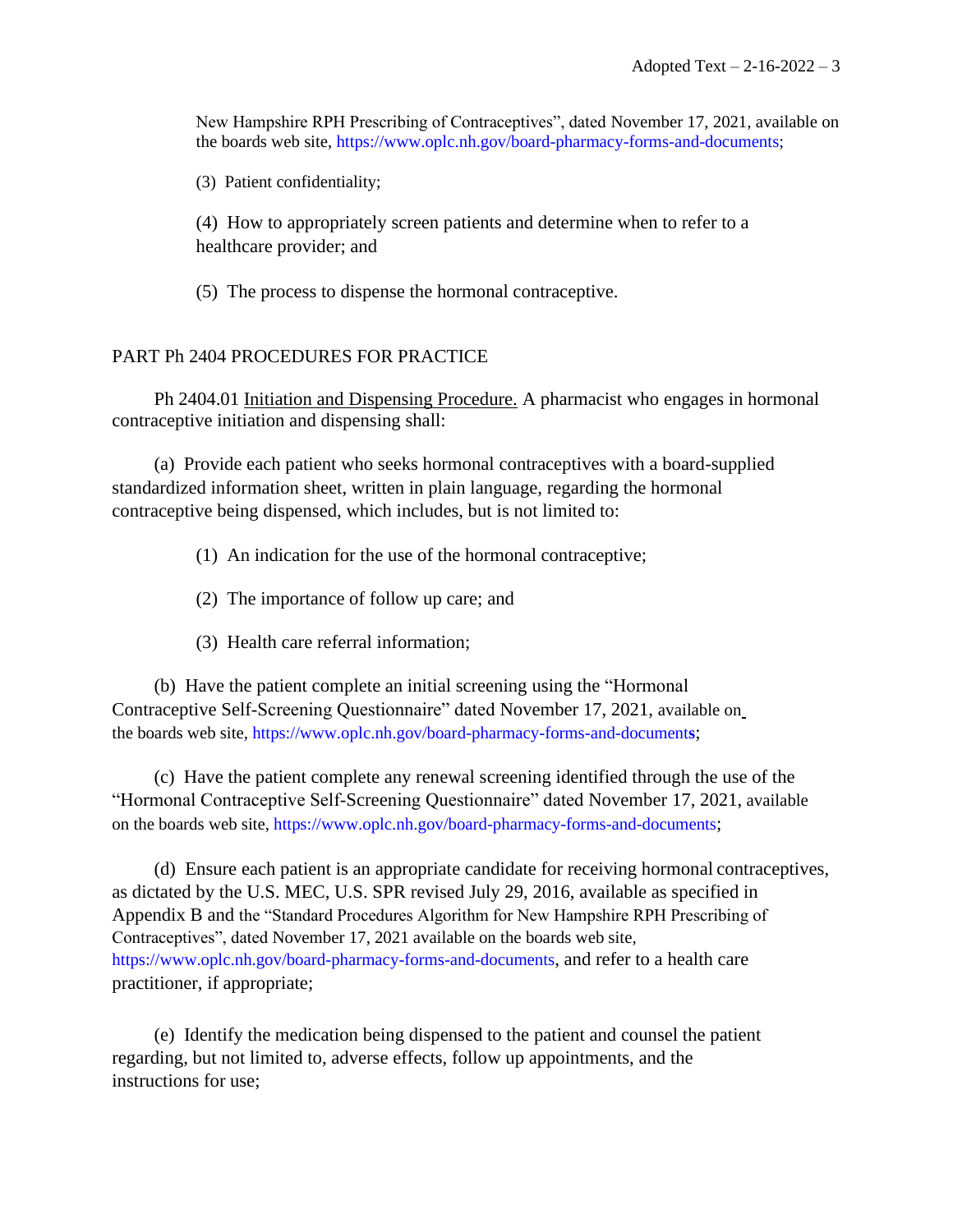New Hampshire RPH Prescribing of Contraceptives", dated November 17, 2021, available on the boards web site, [https://www.oplc.nh.gov/board-pharmacy-forms-and-documents;](https://www.oplc.nh.gov/board-pharmacy-forms-and-documents)

(3) Patient confidentiality;

(4) How to appropriately screen patients and determine when to refer to a healthcare provider; and

(5) The process to dispense the hormonal contraceptive.

#### PART Ph 2404 PROCEDURES FOR PRACTICE

Ph 2404.01 Initiation and Dispensing Procedure. A pharmacist who engages in hormonal contraceptive initiation and dispensing shall:

(a) Provide each patient who seeks hormonal contraceptives with a board-supplied standardized information sheet, written in plain language, regarding the hormonal contraceptive being dispensed, which includes, but is not limited to:

- (1) An indication for the use of the hormonal contraceptive;
- (2) The importance of follow up care; and
- (3) Health care referral information;

(b) Have the patient complete an initial screening using the "Hormonal Contraceptive Self-Screening Questionnaire" dated November 17, 2021, available on the boards web site, [https://www.oplc.nh.gov/board-pharmacy-forms-and-document](https://www.oplc.nh.gov/board-pharmacy-forms-and-documents)**s**;

(c) Have the patient complete any renewal screening identified through the use of the "Hormonal Contraceptive Self-Screening Questionnaire" dated November 17, 2021, available on the boards web site,<https://www.oplc.nh.gov/board-pharmacy-forms-and-documents>;

(d) Ensure each patient is an appropriate candidate for receiving hormonal contraceptives, as dictated by the U.S. MEC, U.S. SPR revised July 29, 2016, available as specified in Appendix B and the "Standard Procedures Algorithm for New Hampshire RPH Prescribing of Contraceptives", dated November 17, 2021 available on the boards web site, <https://www.oplc.nh.gov/board-pharmacy-forms-and-documents>, and refer to a health care practitioner, if appropriate;

(e) Identify the medication being dispensed to the patient and counsel the patient regarding, but not limited to, adverse effects, follow up appointments, and the instructions for use;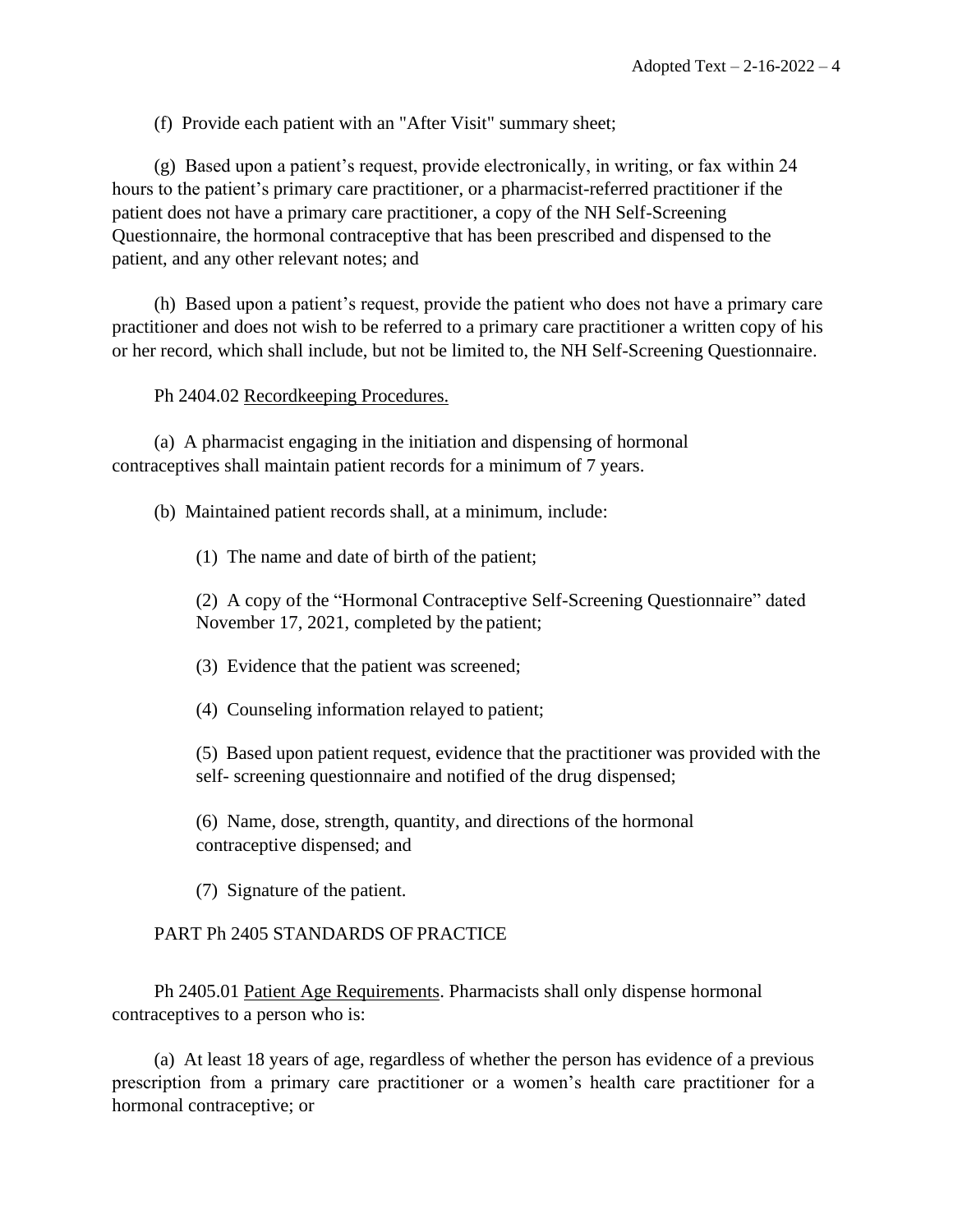(f) Provide each patient with an "After Visit" summary sheet;

(g) Based upon a patient's request, provide electronically, in writing, or fax within 24 hours to the patient's primary care practitioner, or a pharmacist-referred practitioner if the patient does not have a primary care practitioner, a copy of the NH Self-Screening Questionnaire, the hormonal contraceptive that has been prescribed and dispensed to the patient, and any other relevant notes; and

(h) Based upon a patient's request, provide the patient who does not have a primary care practitioner and does not wish to be referred to a primary care practitioner a written copy of his or her record, which shall include, but not be limited to, the NH Self-Screening Questionnaire.

#### Ph 2404.02 Recordkeeping Procedures.

(a) A pharmacist engaging in the initiation and dispensing of hormonal contraceptives shall maintain patient records for a minimum of 7 years.

(b) Maintained patient records shall, at a minimum, include:

(1) The name and date of birth of the patient;

(2) A copy of the "Hormonal Contraceptive Self-Screening Questionnaire" dated November 17, 2021, completed by the patient;

(3) Evidence that the patient was screened;

(4) Counseling information relayed to patient;

(5) Based upon patient request, evidence that the practitioner was provided with the self- screening questionnaire and notified of the drug dispensed;

(6) Name, dose, strength, quantity, and directions of the hormonal contraceptive dispensed; and

(7) Signature of the patient.

# PART Ph 2405 STANDARDS OF PRACTICE

Ph 2405.01 Patient Age Requirements. Pharmacists shall only dispense hormonal contraceptives to a person who is:

(a) At least 18 years of age, regardless of whether the person has evidence of a previous prescription from a primary care practitioner or a women's health care practitioner for a hormonal contraceptive; or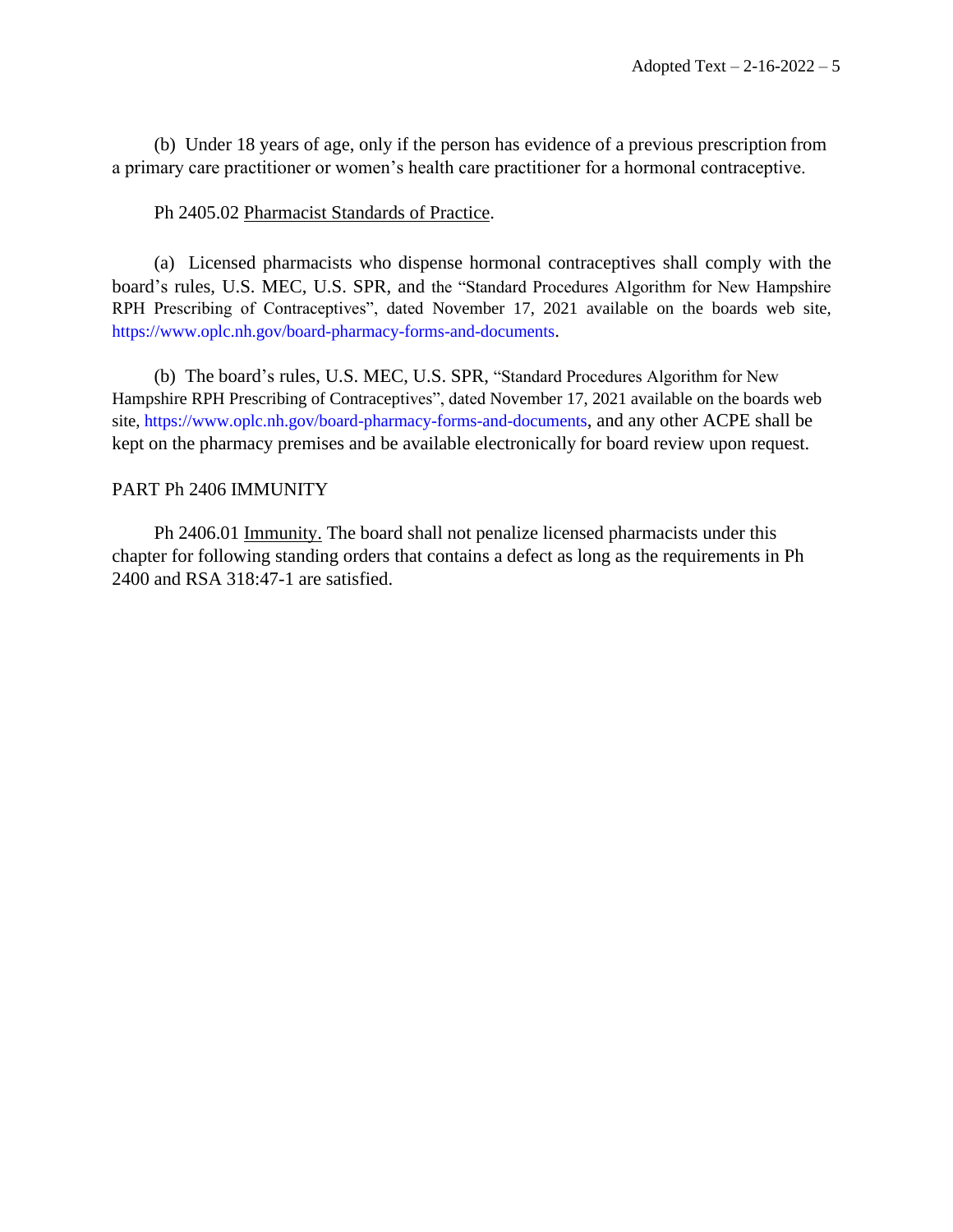(b) Under 18 years of age, only if the person has evidence of a previous prescription from a primary care practitioner or women's health care practitioner for a hormonal contraceptive.

#### Ph 2405.02 Pharmacist Standards of Practice.

(a) Licensed pharmacists who dispense hormonal contraceptives shall comply with the board's rules, U.S. MEC, U.S. SPR, and the "Standard Procedures Algorithm for New Hampshire RPH Prescribing of Contraceptives", dated November 17, 2021 available on the boards web site, <https://www.oplc.nh.gov/board-pharmacy-forms-and-documents>.

(b) The board's rules, U.S. MEC, U.S. SPR, "Standard Procedures Algorithm for New Hampshire RPH Prescribing of Contraceptives", dated November 17, 2021 available on the boards web site,<https://www.oplc.nh.gov/board-pharmacy-forms-and-documents>, and any other ACPE shall be kept on the pharmacy premises and be available electronically for board review upon request.

#### PART Ph 2406 IMMUNITY

Ph 2406.01 Immunity. The board shall not penalize licensed pharmacists under this chapter for following standing orders that contains a defect as long as the requirements in Ph 2400 and RSA 318:47-1 are satisfied.